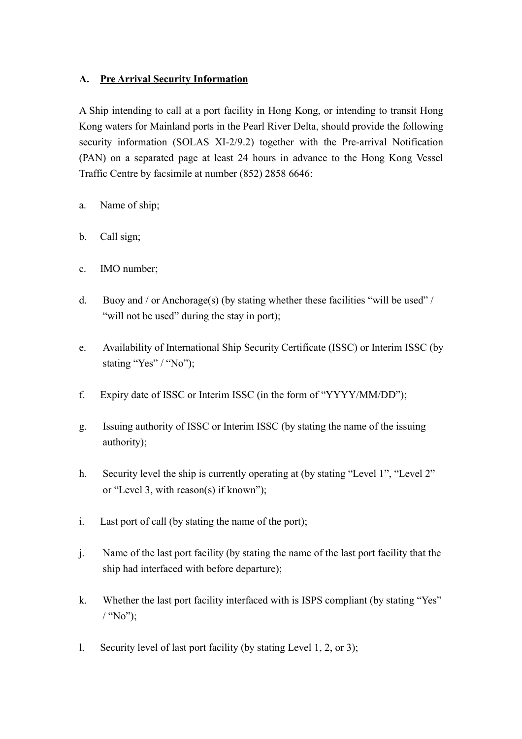## **A. Pre Arrival Security Information**

A Ship intending to call at a port facility in Hong Kong, or intending to transit Hong Kong waters for Mainland ports in the Pearl River Delta, should provide the following security information (SOLAS XI-2/9.2) together with the Pre-arrival Notification (PAN) on a separated page at least 24 hours in advance to the Hong Kong Vessel Traffic Centre by facsimile at number (852) 2858 6646:

- a. Name of ship;
- b. Call sign;
- c. IMO number;
- d. Buoy and / or Anchorage(s) (by stating whether these facilities "will be used" / "will not be used" during the stay in port);
- e. Availability of International Ship Security Certificate (ISSC) or Interim ISSC (by stating "Yes" / "No");
- f. Expiry date of ISSC or Interim ISSC (in the form of "YYYY/MM/DD");
- g. Issuing authority of ISSC or Interim ISSC (by stating the name of the issuing authority);
- h. Security level the ship is currently operating at (by stating "Level 1", "Level 2" or "Level 3, with reason(s) if known");
- i. Last port of call (by stating the name of the port);
- j. Name of the last port facility (by stating the name of the last port facility that the ship had interfaced with before departure);
- k. Whether the last port facility interfaced with is ISPS compliant (by stating "Yes"  $/$  "No"):
- l. Security level of last port facility (by stating Level 1, 2, or 3);